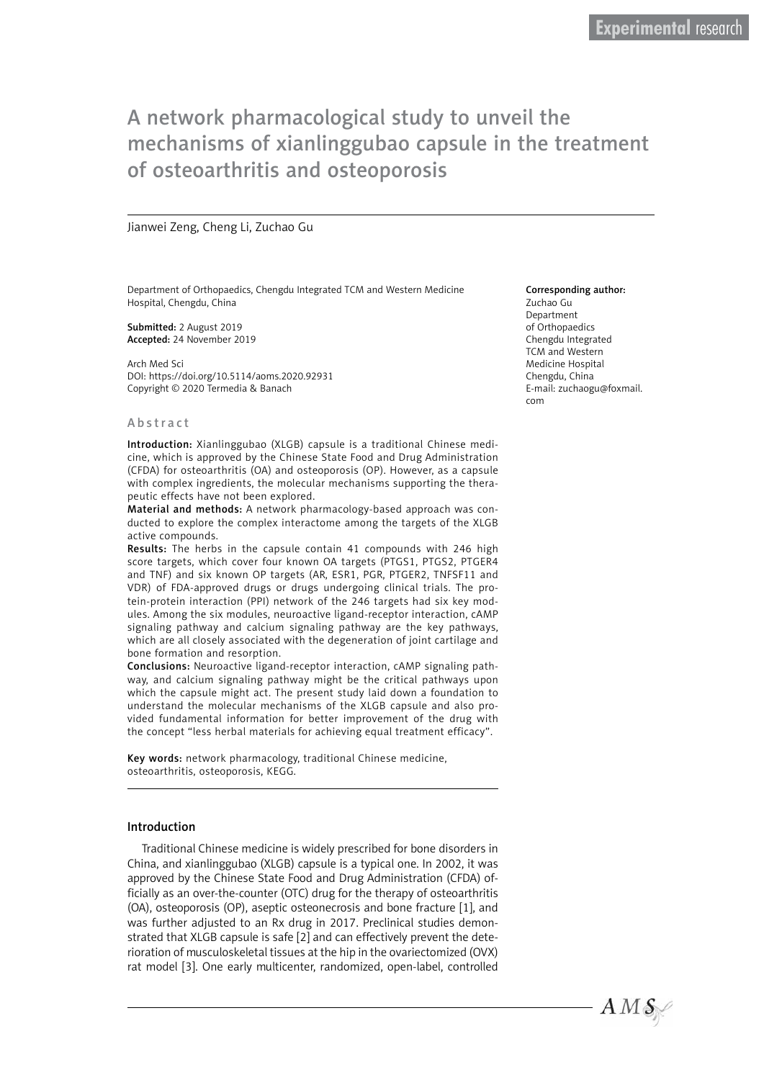# A network pharmacological study to unveil the mechanisms of xianlinggubao capsule in the treatment of osteoarthritis and osteoporosis

## Jianwei Zeng, Cheng Li, Zuchao Gu

Department of Orthopaedics, Chengdu Integrated TCM and Western Medicine Hospital, Chengdu, China

Submitted: 2 August 2019 Accepted: 24 November 2019

Arch Med Sci DOI: https://doi.org/10.5114/aoms.2020.92931 Copyright © 2020 Termedia & Banach

#### Abstract

Introduction: Xianlinggubao (XLGB) capsule is a traditional Chinese medicine, which is approved by the Chinese State Food and Drug Administration (CFDA) for osteoarthritis (OA) and osteoporosis (OP). However, as a capsule with complex ingredients, the molecular mechanisms supporting the therapeutic effects have not been explored.

Material and methods: A network pharmacology-based approach was conducted to explore the complex interactome among the targets of the XLGB active compounds.

Results: The herbs in the capsule contain 41 compounds with 246 high score targets, which cover four known OA targets (PTGS1, PTGS2, PTGER4 and TNF) and six known OP targets (AR, ESR1, PGR, PTGER2, TNFSF11 and VDR) of FDA-approved drugs or drugs undergoing clinical trials. The protein-protein interaction (PPI) network of the 246 targets had six key modules. Among the six modules, neuroactive ligand-receptor interaction, cAMP signaling pathway and calcium signaling pathway are the key pathways, which are all closely associated with the degeneration of joint cartilage and bone formation and resorption.

Conclusions: Neuroactive ligand-receptor interaction, cAMP signaling pathway, and calcium signaling pathway might be the critical pathways upon which the capsule might act. The present study laid down a foundation to understand the molecular mechanisms of the XLGB capsule and also provided fundamental information for better improvement of the drug with the concept "less herbal materials for achieving equal treatment efficacy".

Key words: network pharmacology, traditional Chinese medicine, osteoarthritis, osteoporosis, KEGG.

### Introduction

Traditional Chinese medicine is widely prescribed for bone disorders in China, and xianlinggubao (XLGB) capsule is a typical one. In 2002, it was approved by the Chinese State Food and Drug Administration (CFDA) officially as an over-the-counter (OTC) drug for the therapy of osteoarthritis (OA), osteoporosis (OP), aseptic osteonecrosis and bone fracture [1], and was further adjusted to an Rx drug in 2017. Preclinical studies demonstrated that XLGB capsule is safe [2] and can effectively prevent the deterioration of musculoskeletal tissues at the hip in the ovariectomized (OVX) rat model [3]. One early multicenter, randomized, open-label, controlled

#### Corresponding author:

Zuchao Gu Department of Orthopaedics Chengdu Integrated TCM and Western Medicine Hospital Chengdu, China E-mail: zuchaogu@foxmail. com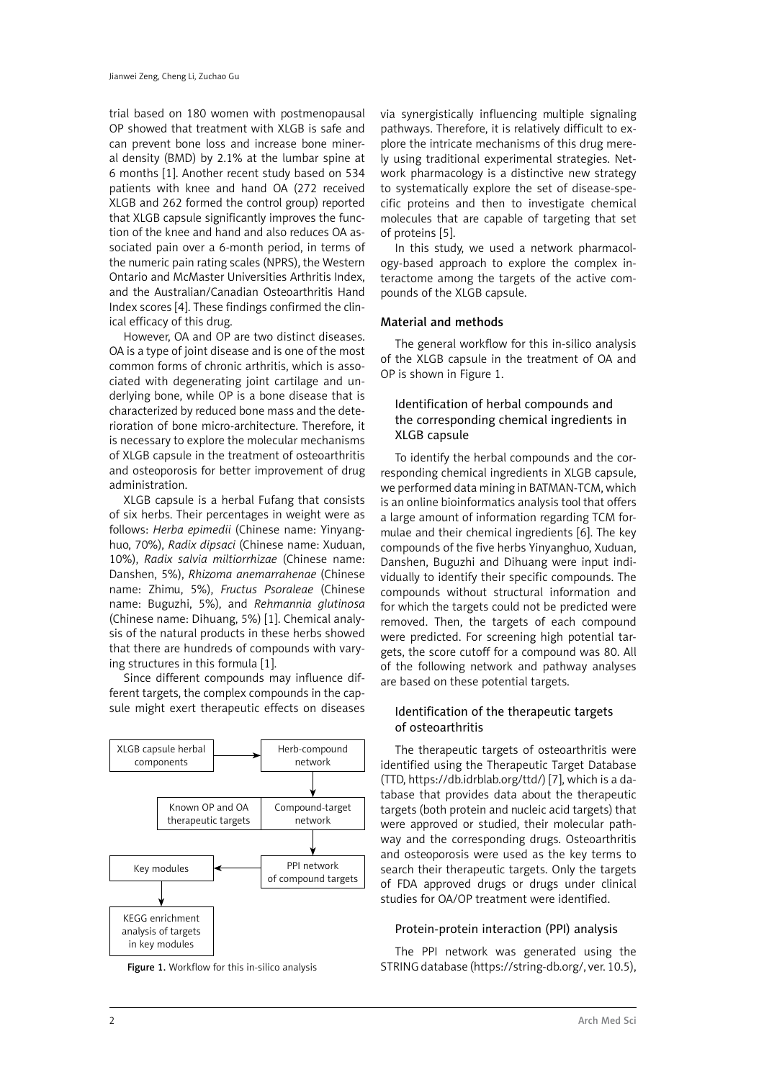trial based on 180 women with postmenopausal OP showed that treatment with XLGB is safe and can prevent bone loss and increase bone mineral density (BMD) by 2.1% at the lumbar spine at 6 months [1]. Another recent study based on 534 patients with knee and hand OA (272 received XLGB and 262 formed the control group) reported that XLGB capsule significantly improves the function of the knee and hand and also reduces OA associated pain over a 6-month period, in terms of the numeric pain rating scales (NPRS), the Western Ontario and McMaster Universities Arthritis Index, and the Australian/Canadian Osteoarthritis Hand Index scores [4]. These findings confirmed the clinical efficacy of this drug.

However, OA and OP are two distinct diseases. OA is a type of joint disease and is one of the most common forms of chronic arthritis, which is associated with degenerating joint cartilage and underlying bone, while OP is a bone disease that is characterized by reduced bone mass and the deterioration of bone micro-architecture. Therefore, it is necessary to explore the molecular mechanisms of XLGB capsule in the treatment of osteoarthritis and osteoporosis for better improvement of drug administration.

XLGB capsule is a herbal Fufang that consists of six herbs. Their percentages in weight were as follows: *Herba epimedii* (Chinese name: Yinyanghuo, 70%), *Radix dipsaci* (Chinese name: Xuduan, 10%), *Radix salvia miltiorrhizae* (Chinese name: Danshen, 5%), *Rhizoma anemarrahenae* (Chinese name: Zhimu, 5%), *Fructus Psoraleae* (Chinese name: Buguzhi, 5%), and *Rehmannia glutinosa* (Chinese name: Dihuang, 5%) [1]. Chemical analysis of the natural products in these herbs showed that there are hundreds of compounds with varying structures in this formula [1].

Since different compounds may influence different targets, the complex compounds in the capsule might exert therapeutic effects on diseases





via synergistically influencing multiple signaling pathways. Therefore, it is relatively difficult to explore the intricate mechanisms of this drug merely using traditional experimental strategies. Network pharmacology is a distinctive new strategy to systematically explore the set of disease-specific proteins and then to investigate chemical molecules that are capable of targeting that set of proteins [5].

In this study, we used a network pharmacology-based approach to explore the complex interactome among the targets of the active compounds of the XLGB capsule.

# Material and methods

The general workflow for this in-silico analysis of the XLGB capsule in the treatment of OA and OP is shown in Figure 1.

# Identification of herbal compounds and the corresponding chemical ingredients in XLGB capsule

To identify the herbal compounds and the corresponding chemical ingredients in XLGB capsule, we performed data mining in BATMAN-TCM, which is an online bioinformatics analysis tool that offers a large amount of information regarding TCM formulae and their chemical ingredients [6]. The key compounds of the five herbs Yinyanghuo, Xuduan, Danshen, Buguzhi and Dihuang were input individually to identify their specific compounds. The compounds without structural information and for which the targets could not be predicted were removed. Then, the targets of each compound were predicted. For screening high potential targets, the score cutoff for a compound was 80. All of the following network and pathway analyses are based on these potential targets.

# Identification of the therapeutic targets of osteoarthritis

The therapeutic targets of osteoarthritis were identified using the Therapeutic Target Database (TTD, [https://db.idrblab.org/ttd/\)](https://db.idrblab.org/ttd/) [7], which is a database that provides data about the therapeutic targets (both protein and nucleic acid targets) that were approved or studied, their molecular pathway and the corresponding drugs. Osteoarthritis and osteoporosis were used as the key terms to search their therapeutic targets. Only the targets of FDA approved drugs or drugs under clinical studies for OA/OP treatment were identified.

## Protein-protein interaction (PPI) analysis

The PPI network was generated using the Figure 1. Workflow for this in-silico analysis STRING database (https://string-db.org/, ver. 10.5),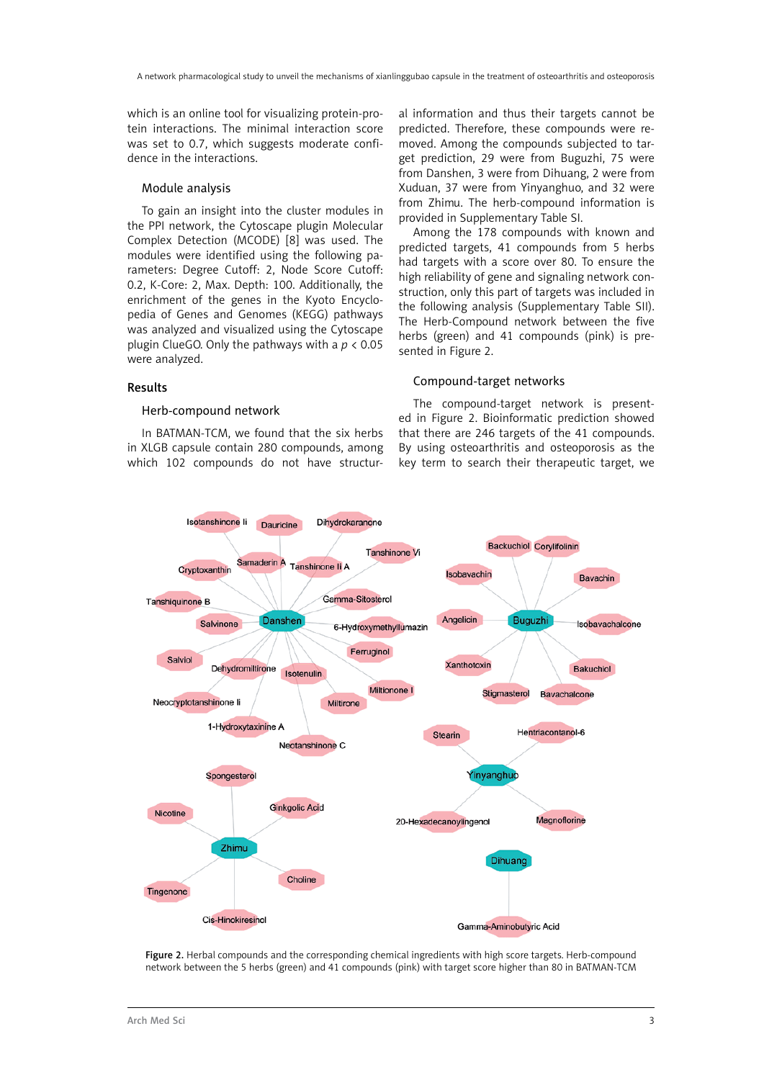which is an online tool for visualizing protein-protein interactions. The minimal interaction score was set to 0.7, which suggests moderate confidence in the interactions.

# Module analysis

To gain an insight into the cluster modules in the PPI network, the Cytoscape plugin Molecular Complex Detection (MCODE) [8] was used. The modules were identified using the following parameters: Degree Cutoff: 2, Node Score Cutoff: 0.2, K-Core: 2, Max. Depth: 100. Additionally, the enrichment of the genes in the Kyoto Encyclopedia of Genes and Genomes (KEGG) pathways was analyzed and visualized using the Cytoscape plugin ClueGO. Only the pathways with a *p* < 0.05 were analyzed.

## Results

## Herb-compound network

In BATMAN-TCM, we found that the six herbs in XLGB capsule contain 280 compounds, among which 102 compounds do not have structural information and thus their targets cannot be predicted. Therefore, these compounds were removed. Among the compounds subjected to target prediction, 29 were from Buguzhi, 75 were from Danshen, 3 were from Dihuang, 2 were from Xuduan, 37 were from Yinyanghuo, and 32 were from Zhimu. The herb-compound information is provided in Supplementary Table SI.

Among the 178 compounds with known and predicted targets, 41 compounds from 5 herbs had targets with a score over 80. To ensure the high reliability of gene and signaling network construction, only this part of targets was included in the following analysis (Supplementary Table SII). The Herb-Compound network between the five herbs (green) and 41 compounds (pink) is presented in Figure 2.

## Compound-target networks

The compound-target network is presented in Figure 2. Bioinformatic prediction showed that there are 246 targets of the 41 compounds. By using osteoarthritis and osteoporosis as the key term to search their therapeutic target, we



Figure 2. Herbal compounds and the corresponding chemical ingredients with high score targets. Herb-compound network between the 5 herbs (green) and 41 compounds (pink) with target score higher than 80 in BATMAN-TCM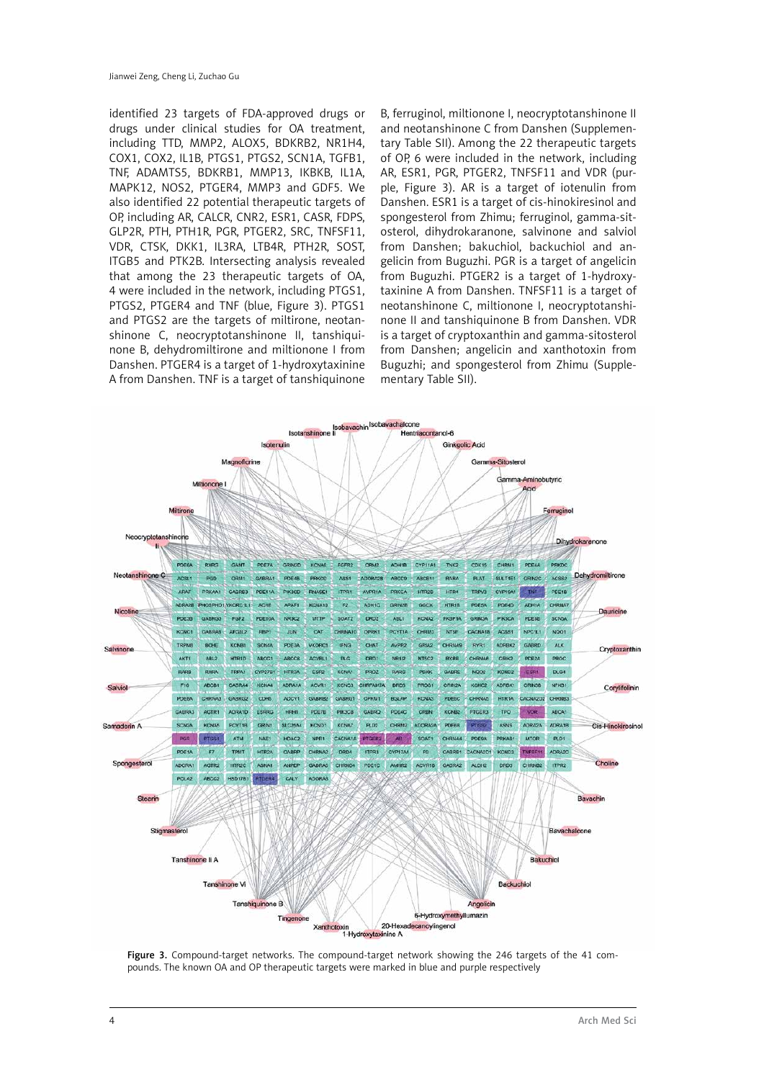identified 23 targets of FDA-approved drugs or drugs under clinical studies for OA treatment, including TTD, MMP2, ALOX5, BDKRB2, NR1H4, COX1, COX2, IL1B, PTGS1, PTGS2, SCN1A, TGFB1, TNF, ADAMTS5, BDKRB1, MMP13, IKBKB, IL1A, MAPK12, NOS2, PTGER4, MMP3 and GDF5. We also identified 22 potential therapeutic targets of OP, including AR, CALCR, CNR2, ESR1, CASR, FDPS, GLP2R, PTH, PTH1R, PGR, PTGER2, SRC, TNFSF11, VDR, CTSK, DKK1, IL3RA, LTB4R, PTH2R, SOST, ITGB5 and PTK2B. Intersecting analysis revealed that among the 23 therapeutic targets of OA, 4 were included in the network, including PTGS1, PTGS2, PTGER4 and TNF (blue, Figure 3). PTGS1 and PTGS2 are the targets of miltirone, neotanshinone C, neocryptotanshinone II, tanshiquinone B, dehydromiltirone and miltionone I from Danshen. PTGER4 is a target of 1-hydroxytaxinine A from Danshen. TNF is a target of tanshiquinone

B, ferruginol, miltionone I, neocryptotanshinone II and neotanshinone C from Danshen (Supplementary Table SII). Among the 22 therapeutic targets of OP, 6 were included in the network, including AR, ESR1, PGR, PTGER2, TNFSF11 and VDR (purple, Figure 3). AR is a target of iotenulin from Danshen. ESR1 is a target of cis-hinokiresinol and spongesterol from Zhimu; ferruginol, gamma-sitosterol, dihydrokaranone, salvinone and salviol from Danshen; bakuchiol, backuchiol and angelicin from Buguzhi. PGR is a target of angelicin from Buguzhi. PTGER2 is a target of 1-hydroxytaxinine A from Danshen. TNFSF11 is a target of neotanshinone C, miltionone I, neocryptotanshinone II and tanshiquinone B from Danshen. VDR is a target of cryptoxanthin and gamma-sitosterol from Danshen; angelicin and xanthotoxin from Buguzhi; and spongesterol from Zhimu (Supplementary Table SII).



Figure 3. Compound-target networks. The compound-target network showing the 246 targets of the 41 compounds. The known OA and OP therapeutic targets were marked in blue and purple respectively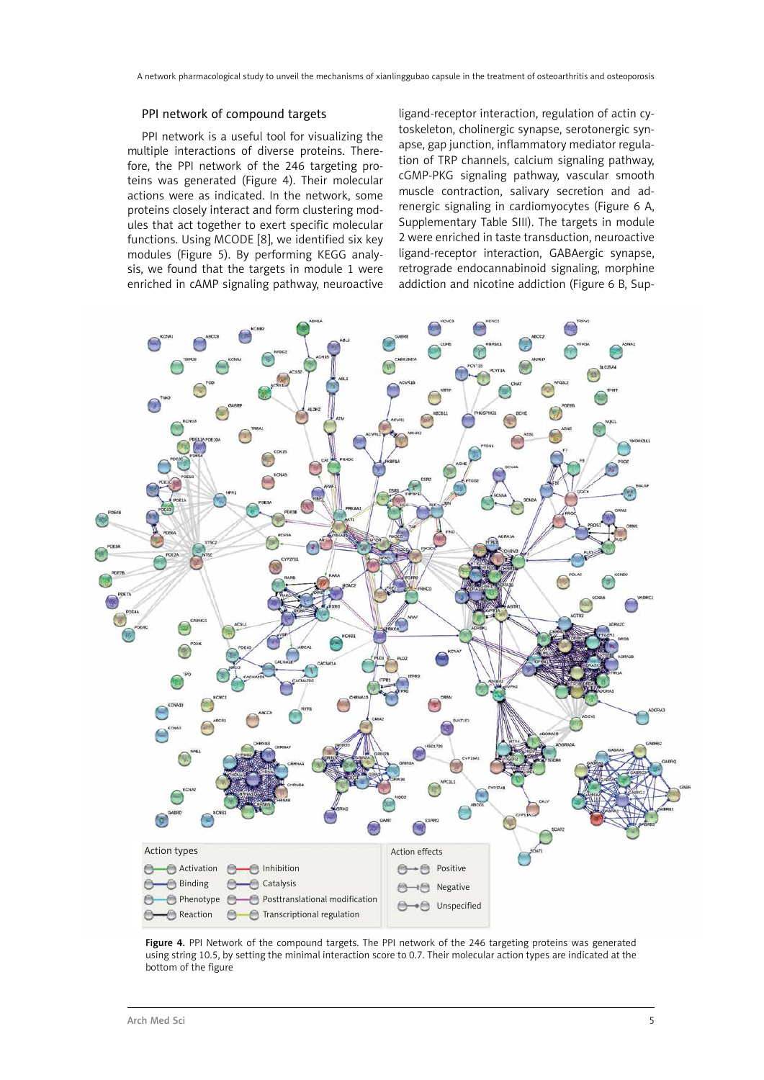#### PPI network of compound targets

PPI network is a useful tool for visualizing the multiple interactions of diverse proteins. Therefore, the PPI network of the 246 targeting proteins was generated (Figure 4). Their molecular actions were as indicated. In the network, some proteins closely interact and form clustering modules that act together to exert specific molecular functions. Using MCODE [8], we identified six key modules (Figure 5). By performing KEGG analysis, we found that the targets in module 1 were enriched in cAMP signaling pathway, neuroactive ligand-receptor interaction, regulation of actin cytoskeleton, cholinergic synapse, serotonergic synapse, gap junction, inflammatory mediator regulation of TRP channels, calcium signaling pathway, cGMP-PKG signaling pathway, vascular smooth muscle contraction, salivary secretion and adrenergic signaling in cardiomyocytes (Figure 6 A, Supplementary Table SIII). The targets in module 2 were enriched in taste transduction, neuroactive ligand-receptor interaction, GABAergic synapse, retrograde endocannabinoid signaling, morphine addiction and nicotine addiction (Figure 6 B, Sup-



Figure 4. PPI Network of the compound targets. The PPI network of the 246 targeting proteins was generated using string 10.5, by setting the minimal interaction score to 0.7. Their molecular action types are indicated at the bottom of the figure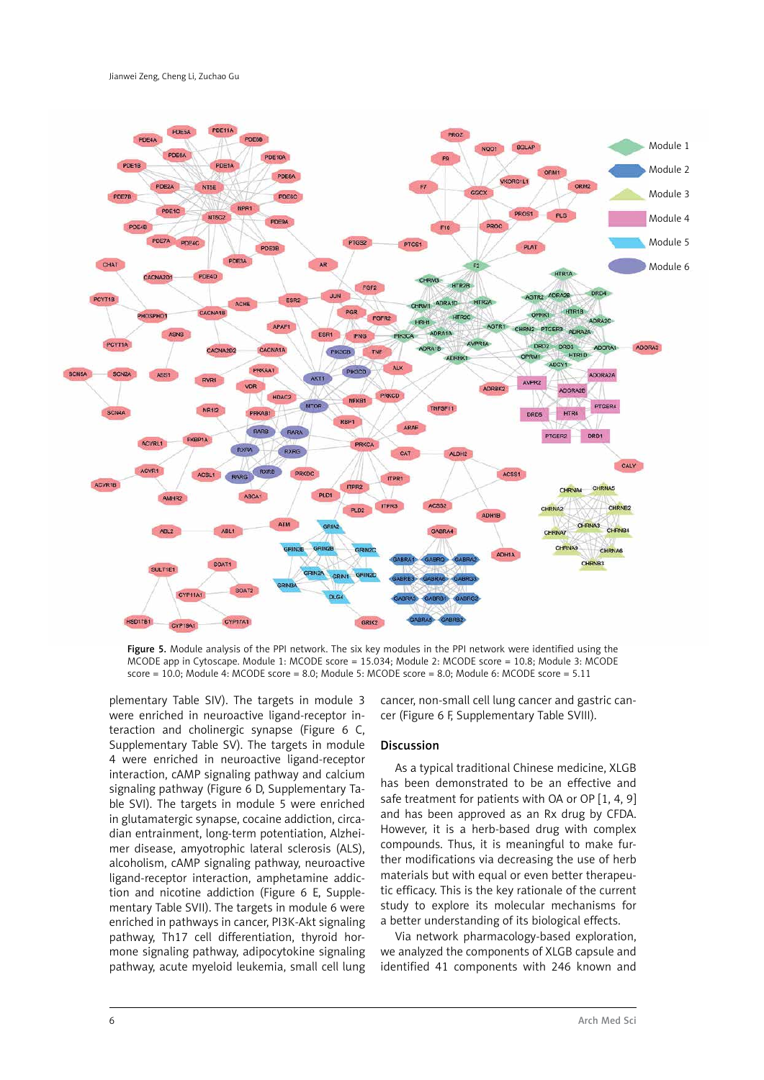

Figure 5. Module analysis of the PPI network. The six key modules in the PPI network were identified using the MCODE app in Cytoscape. Module 1: MCODE score = 15.034; Module 2: MCODE score = 10.8; Module 3: MCODE score = 10.0; Module 4: MCODE score = 8.0; Module 5: MCODE score = 8.0; Module 6: MCODE score = 5.11

plementary Table SIV). The targets in module 3 were enriched in neuroactive ligand-receptor interaction and cholinergic synapse (Figure 6 C, Supplementary Table SV). The targets in module 4 were enriched in neuroactive ligand-receptor interaction, cAMP signaling pathway and calcium signaling pathway (Figure 6 D, Supplementary Table SVI). The targets in module 5 were enriched in glutamatergic synapse, cocaine addiction, circadian entrainment, long-term potentiation, Alzheimer disease, amyotrophic lateral sclerosis (ALS), alcoholism, cAMP signaling pathway, neuroactive ligand-receptor interaction, amphetamine addiction and nicotine addiction (Figure 6 E, Supplementary Table SVII). The targets in module 6 were enriched in pathways in cancer, PI3K-Akt signaling pathway, Th17 cell differentiation, thyroid hormone signaling pathway, adipocytokine signaling pathway, acute myeloid leukemia, small cell lung cancer, non-small cell lung cancer and gastric cancer (Figure 6 F, Supplementary Table SVIII).

### Discussion

As a typical traditional Chinese medicine, XLGB has been demonstrated to be an effective and safe treatment for patients with OA or OP [1, 4, 9] and has been approved as an Rx drug by CFDA. However, it is a herb-based drug with complex compounds. Thus, it is meaningful to make further modifications via decreasing the use of herb materials but with equal or even better therapeutic efficacy. This is the key rationale of the current study to explore its molecular mechanisms for a better understanding of its biological effects.

Via network pharmacology-based exploration, we analyzed the components of XLGB capsule and identified 41 components with 246 known and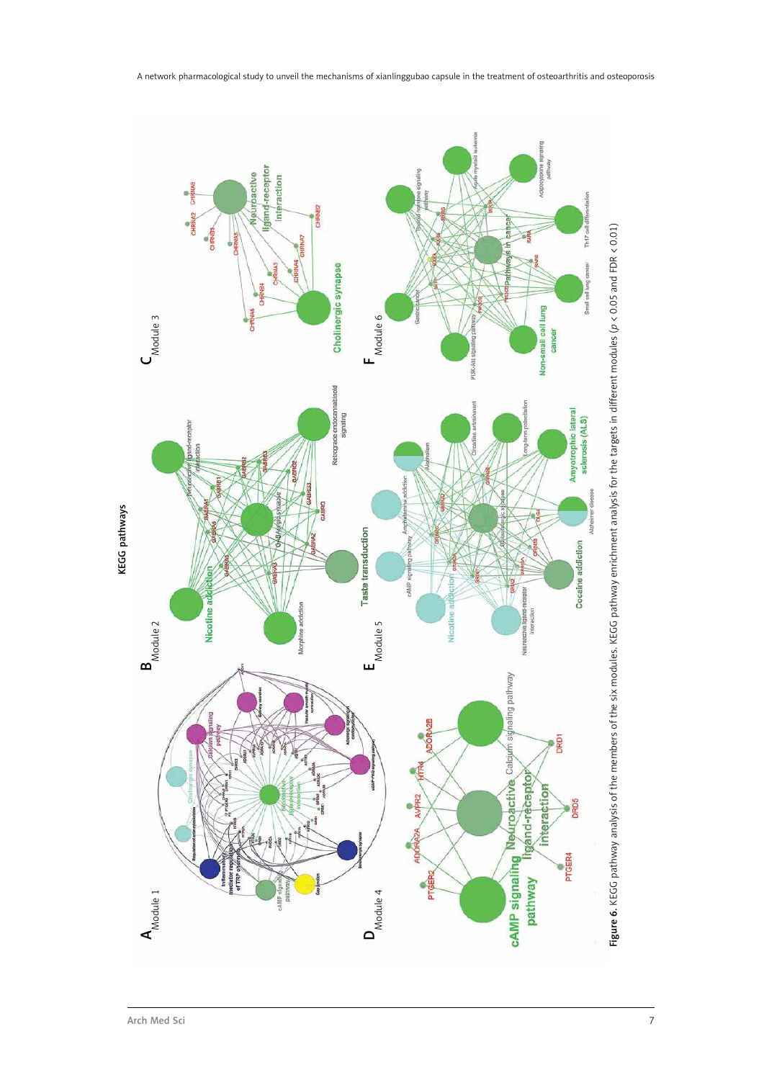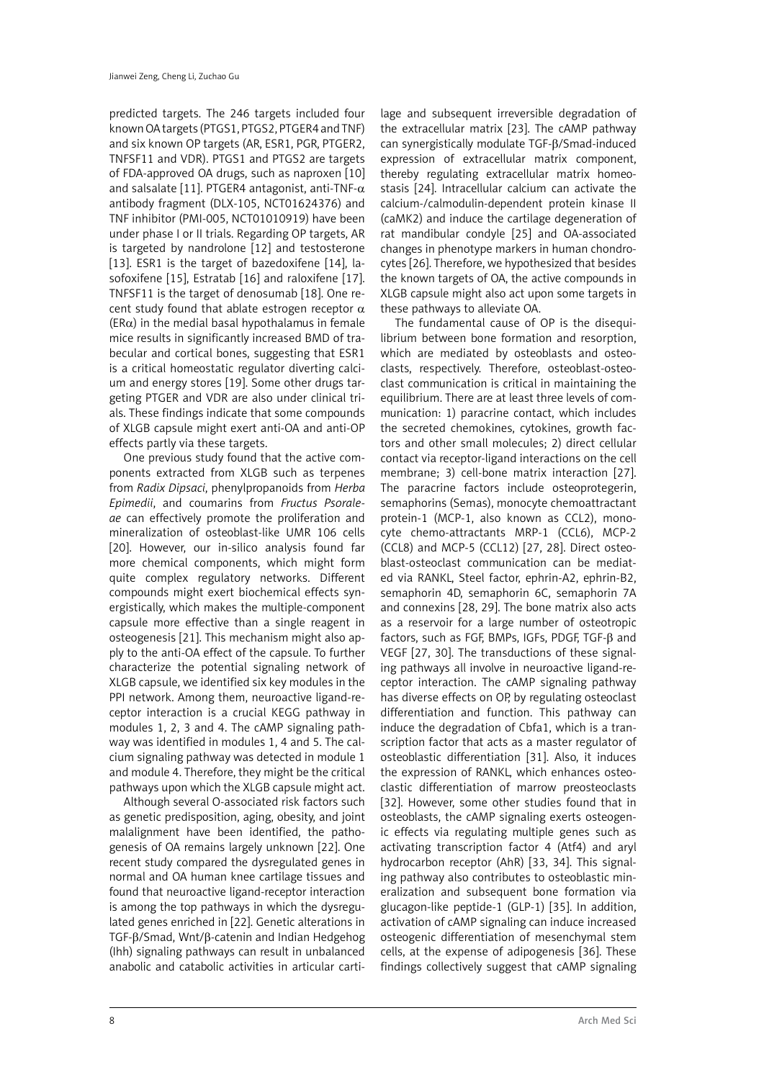predicted targets. The 246 targets included four known OA targets (PTGS1, PTGS2, PTGER4 and TNF) and six known OP targets (AR, ESR1, PGR, PTGER2, TNFSF11 and VDR). PTGS1 and PTGS2 are targets of FDA-approved OA drugs, such as naproxen [10] and salsalate [11]. PTGER4 antagonist, anti-TNF- $\alpha$ antibody fragment (DLX-105, NCT01624376) and TNF inhibitor (PMI-005, NCT01010919) have been under phase I or II trials. Regarding OP targets, AR is targeted by nandrolone [12] and testosterone [13]. ESR1 is the target of bazedoxifene [14]. lasofoxifene [15], Estratab [16] and raloxifene [17]. TNFSF11 is the target of denosumab [18]. One recent study found that ablate estrogen receptor  $\alpha$  $(ER\alpha)$  in the medial basal hypothalamus in female mice results in significantly increased BMD of trabecular and cortical bones, suggesting that ESR1 is a critical homeostatic regulator diverting calcium and energy stores [19]. Some other drugs targeting PTGER and VDR are also under clinical trials. These findings indicate that some compounds of XLGB capsule might exert anti-OA and anti-OP effects partly via these targets.

One previous study found that the active components extracted from XLGB such as terpenes from *Radix Dipsaci*, phenylpropanoids from *Herba Epimedii*, and coumarins from *Fructus Psoraleae* can effectively promote the proliferation and mineralization of osteoblast-like UMR 106 cells [20]. However, our in-silico analysis found far more chemical components, which might form quite complex regulatory networks. Different compounds might exert biochemical effects synergistically, which makes the multiple-component capsule more effective than a single reagent in osteogenesis [21]. This mechanism might also apply to the anti-OA effect of the capsule. To further characterize the potential signaling network of XLGB capsule, we identified six key modules in the PPI network. Among them, neuroactive ligand-receptor interaction is a crucial KEGG pathway in modules 1, 2, 3 and 4. The cAMP signaling pathway was identified in modules 1, 4 and 5. The calcium signaling pathway was detected in module 1 and module 4. Therefore, they might be the critical pathways upon which the XLGB capsule might act.

Although several O-associated risk factors such as genetic predisposition, aging, obesity, and joint malalignment have been identified, the pathogenesis of OA remains largely unknown [22]. One recent study compared the dysregulated genes in normal and OA human knee cartilage tissues and found that neuroactive ligand-receptor interaction is among the top pathways in which the dysregulated genes enriched in [22]. Genetic alterations in TGF-β/Smad, Wnt/β-catenin and Indian Hedgehog (Ihh) signaling pathways can result in unbalanced anabolic and catabolic activities in articular carti-

lage and subsequent irreversible degradation of the extracellular matrix [23]. The cAMP pathway can synergistically modulate TGF-β/Smad-induced expression of extracellular matrix component, thereby regulating extracellular matrix homeostasis [24]. Intracellular calcium can activate the calcium-/calmodulin-dependent protein kinase II (caMK2) and induce the cartilage degeneration of rat mandibular condyle [25] and OA-associated changes in phenotype markers in human chondrocytes [26]. Therefore, we hypothesized that besides the known targets of OA, the active compounds in XLGB capsule might also act upon some targets in these pathways to alleviate OA.

The fundamental cause of OP is the disequilibrium between bone formation and resorption, which are mediated by osteoblasts and osteoclasts, respectively. Therefore, osteoblast-osteoclast communication is critical in maintaining the equilibrium. There are at least three levels of communication: 1) paracrine contact, which includes the secreted chemokines, cytokines, growth factors and other small molecules; 2) direct cellular contact via receptor-ligand interactions on the cell membrane; 3) cell-bone matrix interaction [27]. The paracrine factors include osteoprotegerin, semaphorins (Semas), monocyte chemoattractant protein-1 (MCP-1, also known as CCL2), monocyte chemo-attractants MRP-1 (CCL6), MCP-2 (CCL8) and MCP-5 (CCL12) [27, 28]. Direct osteoblast-osteoclast communication can be mediated via RANKL, Steel factor, ephrin-A2, ephrin-B2, semaphorin 4D, semaphorin 6C, semaphorin 7A and connexins [28, 29]. The bone matrix also acts as a reservoir for a large number of osteotropic factors, such as FGF, BMPs, IGFs, PDGF, TGF-β and VEGF [27, 30]. The transductions of these signaling pathways all involve in neuroactive ligand-receptor interaction. The cAMP signaling pathway has diverse effects on OP, by regulating osteoclast differentiation and function. This pathway can induce the degradation of Cbfa1, which is a transcription factor that acts as a master regulator of osteoblastic differentiation [31]. Also, it induces the expression of RANKL, which enhances osteoclastic differentiation of marrow preosteoclasts [32]. However, some other studies found that in osteoblasts, the cAMP signaling exerts osteogenic effects via regulating multiple genes such as activating transcription factor 4 (Atf4) and aryl hydrocarbon receptor (AhR) [33, 34]. This signaling pathway also contributes to osteoblastic mineralization and subsequent bone formation via glucagon-like peptide-1 (GLP-1) [35]. In addition, activation of cAMP signaling can induce increased osteogenic differentiation of mesenchymal stem cells, at the expense of adipogenesis [36]. These findings collectively suggest that cAMP signaling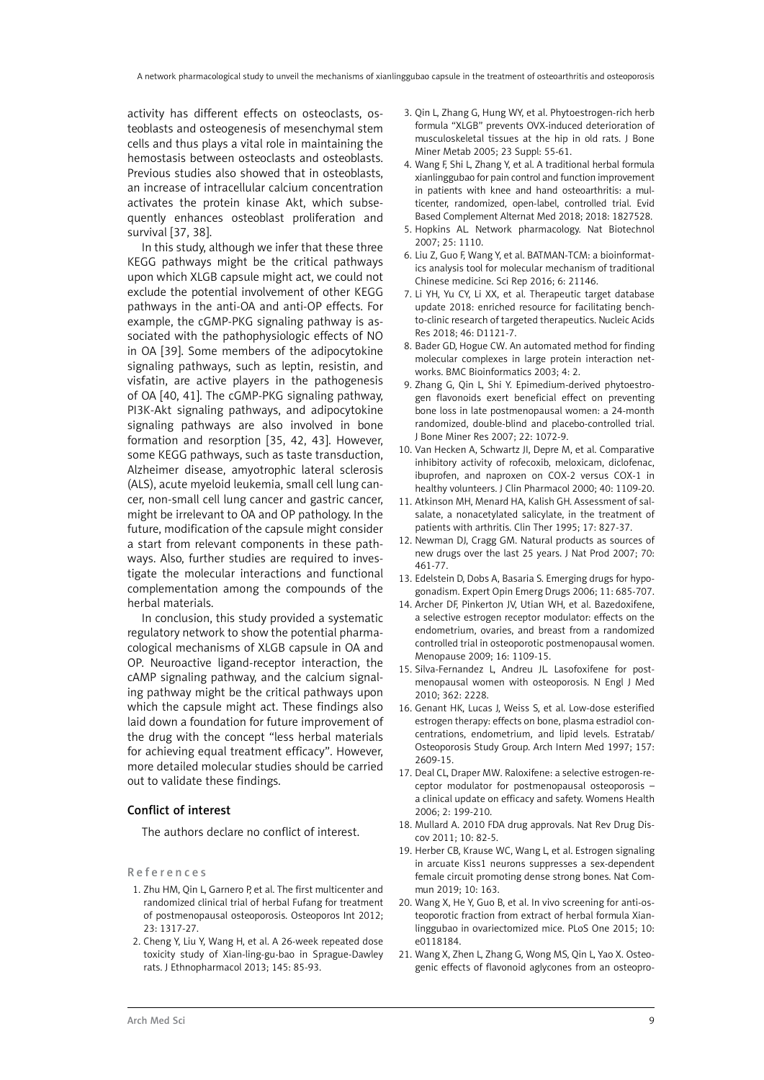activity has different effects on osteoclasts, osteoblasts and osteogenesis of mesenchymal stem cells and thus plays a vital role in maintaining the hemostasis between osteoclasts and osteoblasts. Previous studies also showed that in osteoblasts, an increase of intracellular calcium concentration activates the protein kinase Akt, which subsequently enhances osteoblast proliferation and survival [37, 38].

In this study, although we infer that these three KEGG pathways might be the critical pathways upon which XLGB capsule might act, we could not exclude the potential involvement of other KEGG pathways in the anti-OA and anti-OP effects. For example, the cGMP-PKG signaling pathway is associated with the pathophysiologic effects of NO in OA [39]. Some members of the adipocytokine signaling pathways, such as leptin, resistin, and visfatin, are active players in the pathogenesis of OA [40, 41]. The cGMP-PKG signaling pathway, PI3K-Akt signaling pathways, and adipocytokine signaling pathways are also involved in bone formation and resorption [35, 42, 43]. However, some KEGG pathways, such as taste transduction, Alzheimer disease, amyotrophic lateral sclerosis (ALS), acute myeloid leukemia, small cell lung cancer, non-small cell lung cancer and gastric cancer, might be irrelevant to OA and OP pathology. In the future, modification of the capsule might consider a start from relevant components in these pathways. Also, further studies are required to investigate the molecular interactions and functional complementation among the compounds of the herbal materials.

In conclusion, this study provided a systematic regulatory network to show the potential pharmacological mechanisms of XLGB capsule in OA and OP. Neuroactive ligand-receptor interaction, the cAMP signaling pathway, and the calcium signaling pathway might be the critical pathways upon which the capsule might act. These findings also laid down a foundation for future improvement of the drug with the concept "less herbal materials for achieving equal treatment efficacy". However, more detailed molecular studies should be carried out to validate these findings.

## Conflict of interest

The authors declare no conflict of interest.

#### References

- 1. Zhu HM, Qin L, Garnero P, et al. The first multicenter and randomized clinical trial of herbal Fufang for treatment of postmenopausal osteoporosis. Osteoporos Int 2012; 23: 1317-27.
- 2. Cheng Y, Liu Y, Wang H, et al. A 26-week repeated dose toxicity study of Xian-ling-gu-bao in Sprague-Dawley rats. J Ethnopharmacol 2013; 145: 85-93.
- 3. Qin L, Zhang G, Hung WY, et al. Phytoestrogen-rich herb formula "XLGB" prevents OVX-induced deterioration of musculoskeletal tissues at the hip in old rats. J Bone Miner Metab 2005; 23 Suppl: 55-61.
- 4. Wang F, Shi L, Zhang Y, et al. A traditional herbal formula xianlinggubao for pain control and function improvement in patients with knee and hand osteoarthritis: a multicenter, randomized, open-label, controlled trial. Evid Based Complement Alternat Med 2018; 2018: 1827528.
- 5. Hopkins AL. Network pharmacology. Nat Biotechnol 2007; 25: 1110.
- 6. Liu Z, Guo F, Wang Y, et al. BATMAN-TCM: a bioinformatics analysis tool for molecular mechanism of traditional Chinese medicine. Sci Rep 2016; 6: 21146.
- 7. Li YH, Yu CY, Li XX, et al. Therapeutic target database update 2018: enriched resource for facilitating benchto-clinic research of targeted therapeutics. Nucleic Acids Res 2018; 46: D1121-7.
- 8. Bader GD, Hogue CW. An automated method for finding molecular complexes in large protein interaction networks. BMC Bioinformatics 2003; 4: 2.
- 9. Zhang G, Qin L, Shi Y. Epimedium-derived phytoestrogen flavonoids exert beneficial effect on preventing bone loss in late postmenopausal women: a 24-month randomized, double-blind and placebo-controlled trial. J Bone Miner Res 2007; 22: 1072-9.
- 10. Van Hecken A, Schwartz JI, Depre M, et al. Comparative inhibitory activity of rofecoxib, meloxicam, diclofenac, ibuprofen, and naproxen on COX-2 versus COX-1 in healthy volunteers. J Clin Pharmacol 2000; 40: 1109-20.
- 11. Atkinson MH, Menard HA, Kalish GH. Assessment of salsalate, a nonacetylated salicylate, in the treatment of patients with arthritis. Clin Ther 1995; 17: 827-37.
- 12. Newman DJ, Cragg GM. Natural products as sources of new drugs over the last 25 years. J Nat Prod 2007; 70: 461-77.
- 13. Edelstein D, Dobs A, Basaria S. Emerging drugs for hypogonadism. Expert Opin Emerg Drugs 2006; 11: 685-707.
- 14. Archer DF, Pinkerton JV, Utian WH, et al. Bazedoxifene, a selective estrogen receptor modulator: effects on the endometrium, ovaries, and breast from a randomized controlled trial in osteoporotic postmenopausal women. Menopause 2009; 16: 1109-15.
- 15. Silva-Fernandez L, Andreu JL. Lasofoxifene for postmenopausal women with osteoporosis. N Engl J Med 2010; 362: 2228.
- 16. Genant HK, Lucas J, Weiss S, et al. Low-dose esterified estrogen therapy: effects on bone, plasma estradiol concentrations, endometrium, and lipid levels. Estratab/ Osteoporosis Study Group. Arch Intern Med 1997; 157: 2609-15.
- 17. Deal CL, Draper MW. Raloxifene: a selective estrogen-receptor modulator for postmenopausal osteoporosis – a clinical update on efficacy and safety. Womens Health 2006; 2: 199-210.
- 18. Mullard A. 2010 FDA drug approvals. Nat Rev Drug Discov 2011; 10: 82-5.
- 19. Herber CB, Krause WC, Wang L, et al. Estrogen signaling in arcuate Kiss1 neurons suppresses a sex-dependent female circuit promoting dense strong bones. Nat Commun 2019; 10: 163.
- 20. Wang X, He Y, Guo B, et al. In vivo screening for anti-osteoporotic fraction from extract of herbal formula Xianlinggubao in ovariectomized mice. PLoS One 2015; 10: e0118184.
- 21. Wang X, Zhen L, Zhang G, Wong MS, Qin L, Yao X. Osteogenic effects of flavonoid aglycones from an osteopro-